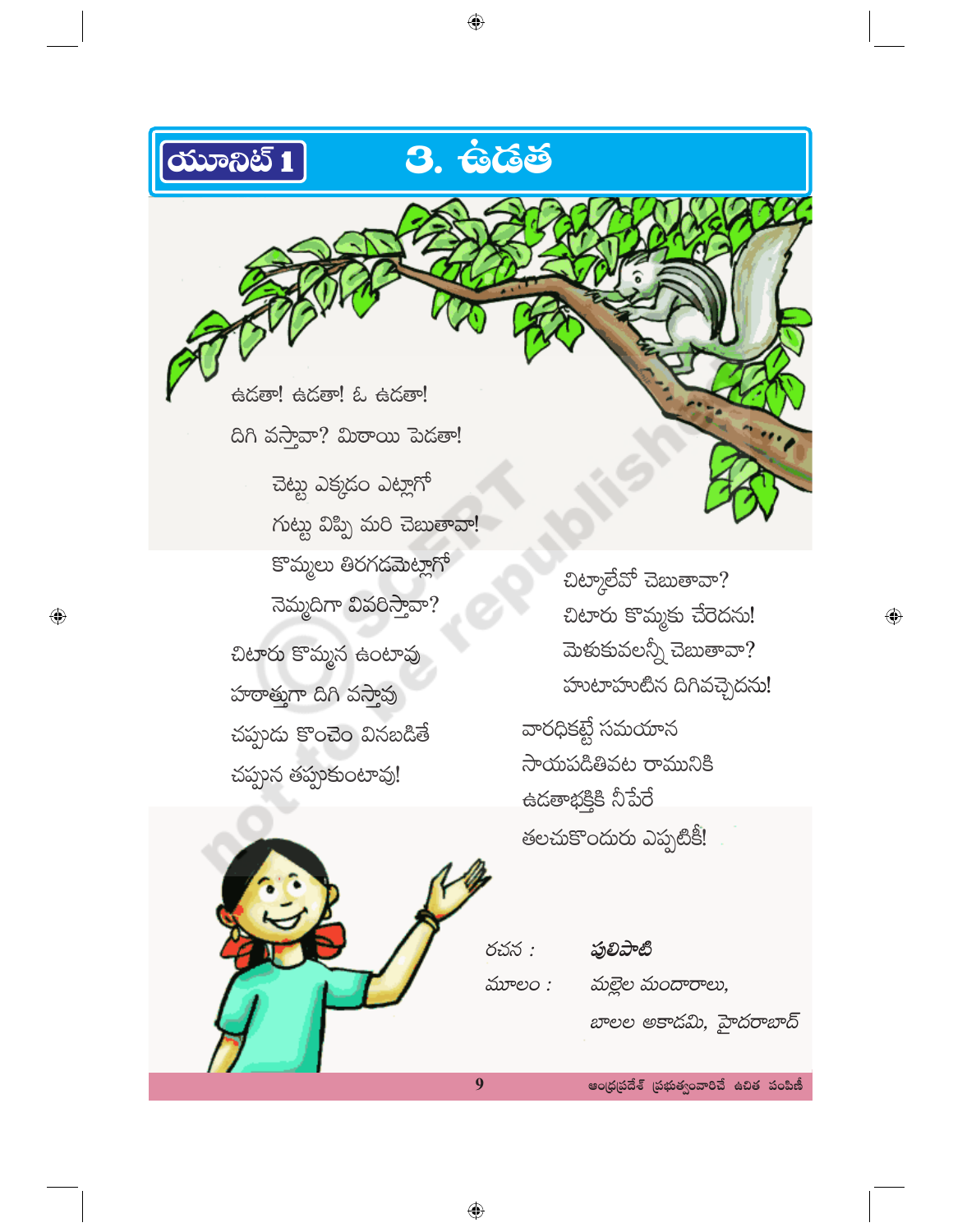

 $\bigoplus$ 

తలచుకొందురు ఎప్పటికీ!

| రచన :  | ఫులిపాటి               |
|--------|------------------------|
| మూలం : | మల్లెల మందారాలు,       |
|        | బాలల అకాడమి, హైదరాబాద్ |

ఆంధ్రప్రదేశ్ (పభుత్వంవారిచే ఉచిత పంపిణీ

 $\bigoplus$ 

9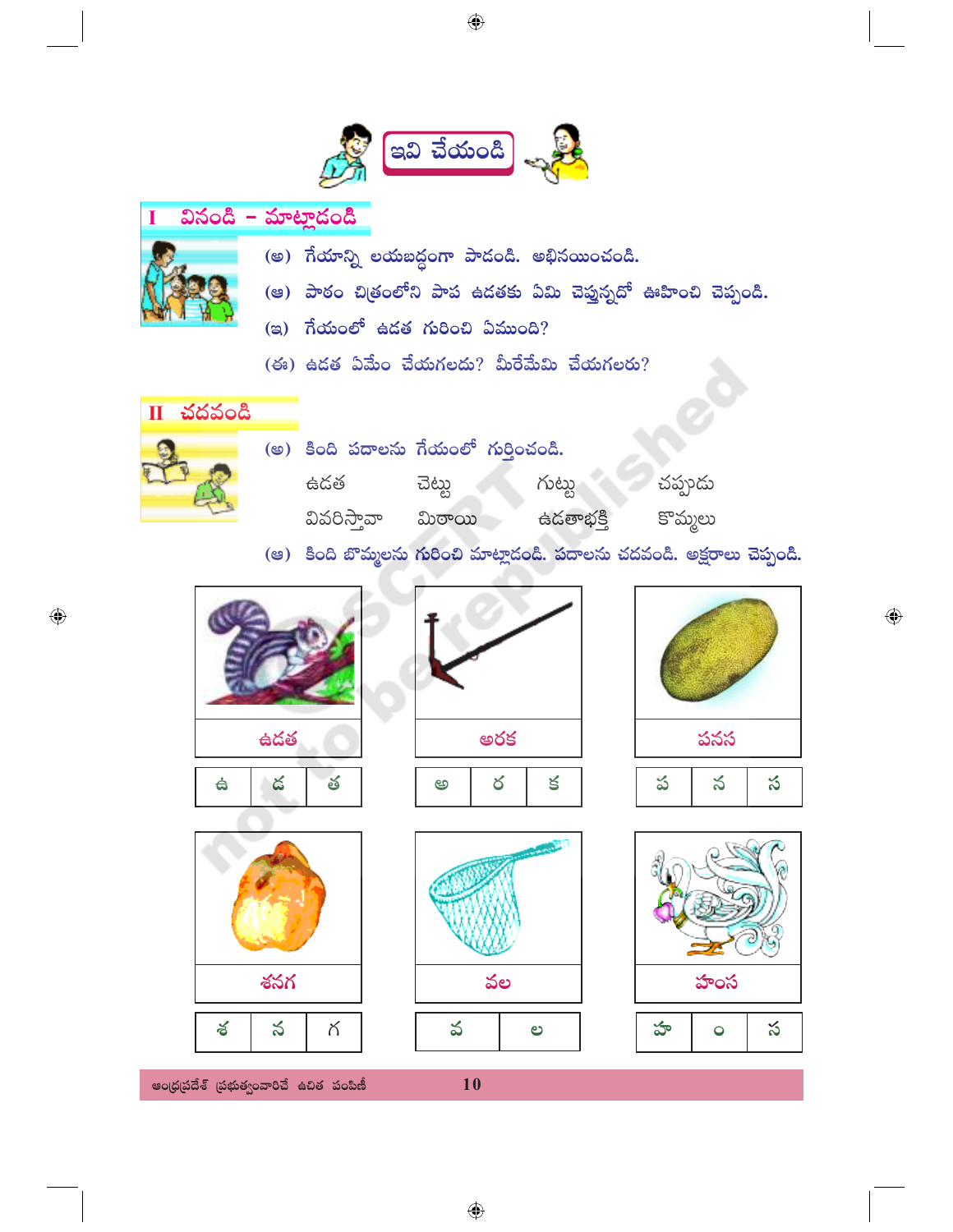

## వినండి – మాట్లాడండి Ī (అ) గేయాన్ని లయబద్ధంగా పాడండి. అభినయించండి. (ఆ) పాఠం చిత్రంలోని పాప ఉదతకు ఏమి చెప్తున్నదో ఊహించి చెప్పండి. (ఇ) గేయంలో ఉడత గురించి ఏముంది?  $($ ఈ $)$  ఉడత ఏమేం చేయగలదు? మీరేమేమి చేయగలరు?





◈





చప్పండు

కొమ్మలు



ఆంధ్రప్రదేశ్ (పభుత్వంవారిచే ఉచిత పంపిణీ



10

 $\bigoplus$ 





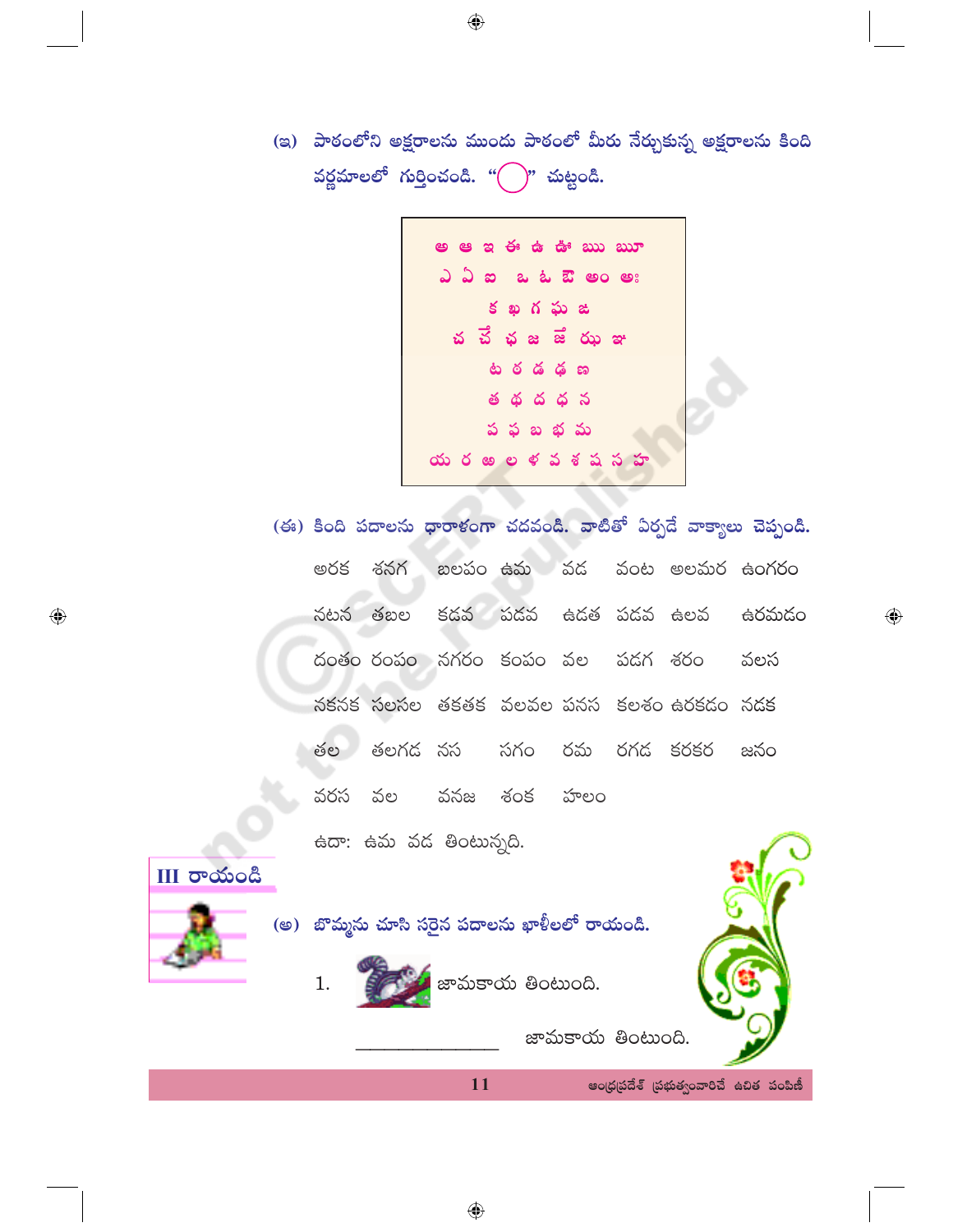(ఇ) పాఠంలోని అక్షరాలను ముందు పాఠంలో మీరు నేర్చుకున్న అక్షరాలను కింది వర్ణమాలలో గుర్తించండి. " $\left( \quad \right)$ " చుట్టండి.



(ఈ) కింది పదాలను ధారాళంగా చదవండి. వాటితో ఏర్పడే వాక్యాలు చెప్పండి. బలపం ఉమ వడ వంట అలమర ఉంగరం అరక శనగ కడవ పడవ నటన తబల ఉదత పదవ ఉలవ ఉరమడం దంతం రంపం నగరం కంపం వల పడగ శరం వలస నకనక సలసల తకతక వలవల పనస కలశం ఉరకడం నడక తల తలగడ నస సగం రమ రగడ కరకర జనం వరస వల వనజ శంక హలం ఉదా: ఉమ వడ తింటున్నది.



 $\bigoplus$ 



<mark>.</mark> జామకాయ తింటుంది.

11

 $\bigoplus$ 

జామకాయ తింటుంది.

ఆంధ్రప్రదేశ్ (పభుత్వంవారిచే ఉచిత పంపిణీ

 $\bigoplus$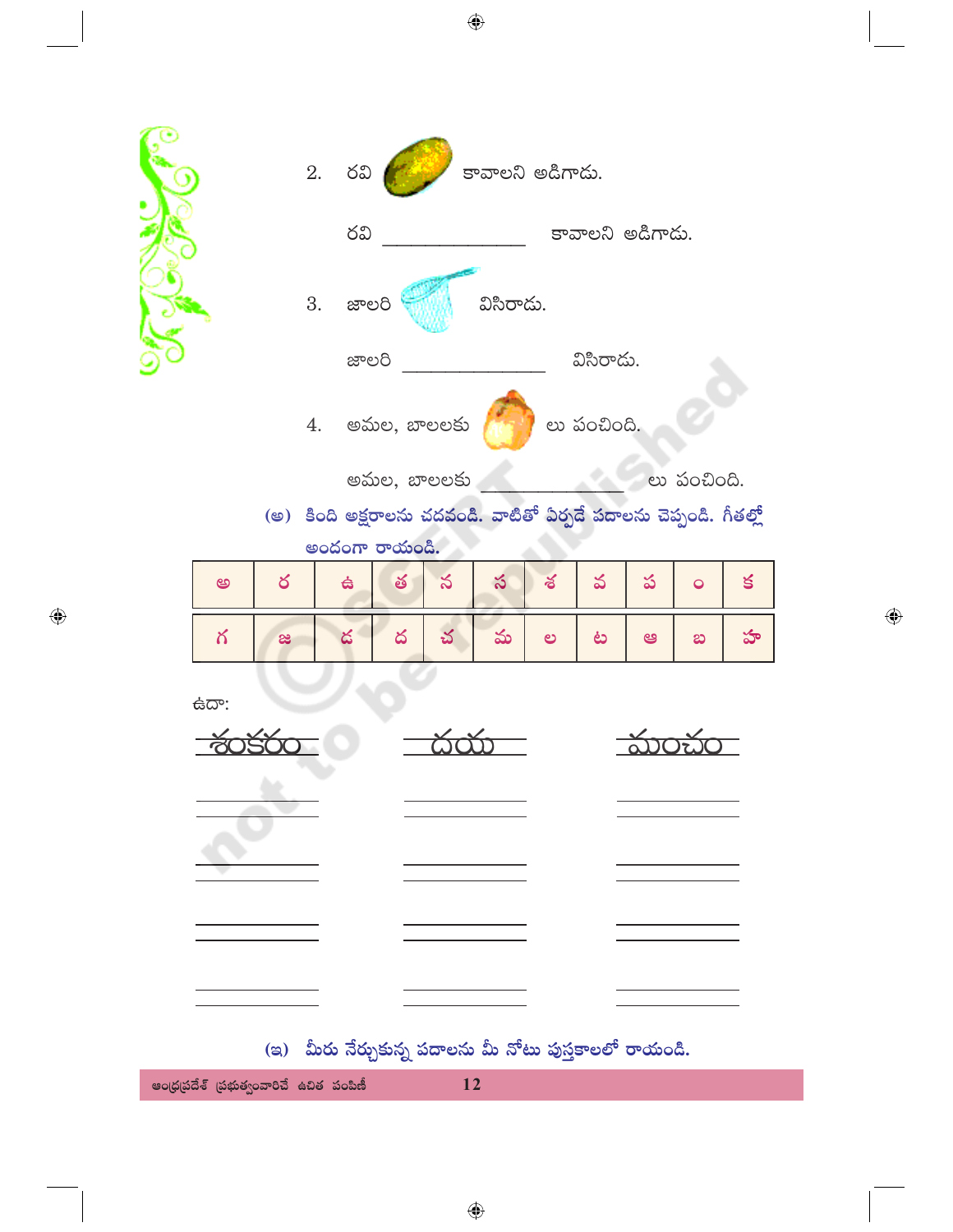|             |   | $2.$ රධ $($         |   |                |           | కావాలని అడిగాడు.                                                   |             |                  |             |   |
|-------------|---|---------------------|---|----------------|-----------|--------------------------------------------------------------------|-------------|------------------|-------------|---|
|             |   | రవి                 |   |                |           |                                                                    |             | కావాలని అడిగాదు. |             |   |
|             |   | 3. జాలరి            |   |                | విసిరాదు. |                                                                    |             |                  |             |   |
|             |   | జాలరి               |   |                |           |                                                                    | విసిరాదు.   |                  |             |   |
|             |   |                     |   | 4. అమల, బాలలకు |           |                                                                    | లు పంచింది. |                  |             |   |
|             |   |                     |   | అమల, బాలలకు    |           |                                                                    |             |                  | లు పంచింది. |   |
|             |   |                     |   |                |           | (అ) కింది అక్షరాలను చదవండి. వాటితో ఏర్పడే పదాలను చెప్పండి. గీతల్లో |             |                  |             |   |
| అ           | ర | అందంగా రాయండి.<br>台 | త | న              | స         | శ                                                                  | వ           | ప                | $\bullet$   | క |
|             |   |                     |   |                |           |                                                                    |             |                  |             |   |
| గ           | æ | డ                   | ద | చ              | మ         | ల                                                                  | ಟ           | అ                | $\infty$    | హ |
| <b>ఉదా:</b> |   |                     |   |                |           |                                                                    |             |                  |             |   |
|             |   |                     |   |                |           |                                                                    |             |                  |             |   |
|             |   |                     |   |                |           |                                                                    |             |                  |             |   |
|             |   |                     |   |                |           |                                                                    |             |                  |             |   |
|             |   |                     |   |                |           |                                                                    |             |                  |             |   |
|             |   |                     |   |                |           |                                                                    |             |                  |             |   |
|             |   |                     |   |                |           |                                                                    |             |                  |             |   |
|             |   |                     |   |                |           |                                                                    |             |                  |             |   |
|             |   |                     |   |                |           |                                                                    |             |                  |             |   |
|             |   |                     |   |                |           | (ఇ) మీరు నేర్చుకున్న పదాలను మీ నోటు పుస్తకాలలో రాయండి.             |             |                  |             |   |

 $\bigoplus$ 

 $\bigoplus$ 

ఆంధ్రప్రదేశ్ (పభుత్వంవారిచే ఉచిత పంపిణీ  $12$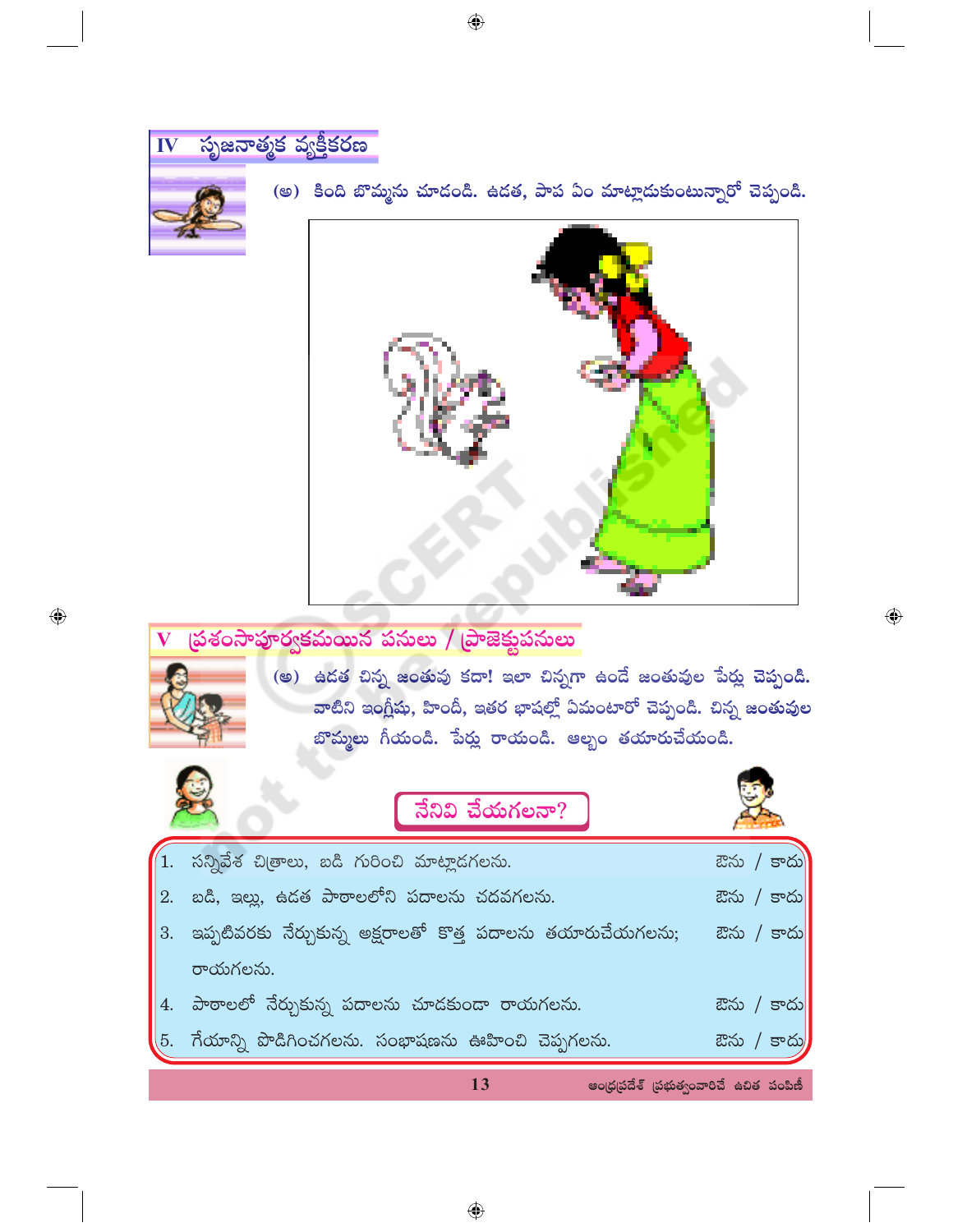

 $\bigoplus$ 

- 3. ఇప్పటివరకు నేర్చుకున్న అక్షరాలతో కొత్త పదాలను తయారుచేయగలను; ఔను / కాదు రాయగలను. 4. పాఠాలలో నేర్చుకున్న పదాలను చూడకుండా రాయగలను. ఔను / కాదు
- 5. గేయాన్ని పొడిగించగలను. సంభాషణను ఊహించి చెప్పగలను. ఔను / కాదు

13

ఆంధ్రప్రదేశ్ (పభుత్వంవారిచే ఉచిత పంపిణీ